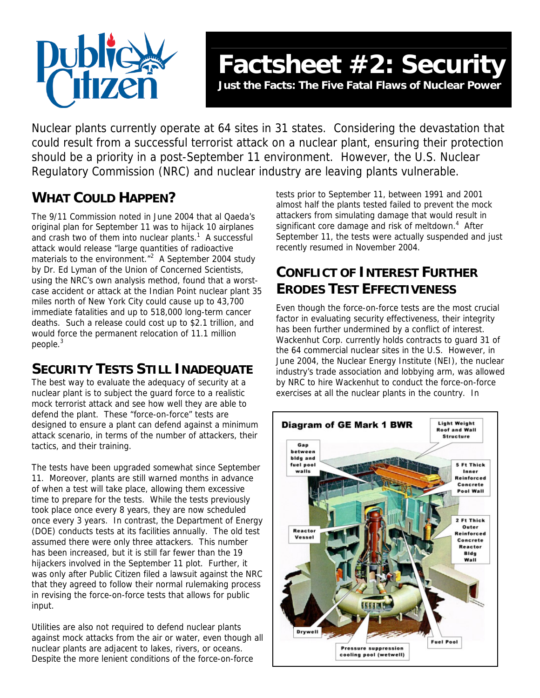

Nuclear plants currently operate at 64 sites in 31 states. Considering the devastation that could result from a successful terrorist attack on a nuclear plant, ensuring their protection should be a priority in a post-September 11 environment. However, the U.S. Nuclear Regulatory Commission (NRC) and nuclear industry are leaving plants vulnerable.

# **WHAT COULD HAPPEN?**

The 9/11 Commission noted in June 2004 that al Qaeda's original plan for September 11 was to hijack 10 airplanes and crash two of them into nuclear plants.<sup>[1](#page-1-0)</sup> A successful attack would release "large quantities of radioactive materialsto the environment. $\sqrt{n^2}$  A September 2004 study by Dr. Ed Lyman of the Union of Concerned Scientists, using the NRC's own analysis method, found that a worstcase accident or attack at the Indian Point nuclear plant 35 miles north of New York City could cause up to 43,700 immediate fatalities and up to 518,000 long-term cancer deaths. Such a release could cost up to \$2.1 trillion, and would force the permanent relocation of 11.1 million people[.3](#page-1-2)

## **SECURITY TESTS STILL INADEQUATE**

The best way to evaluate the adequacy of security at a nuclear plant is to subject the guard force to a realistic mock terrorist attack and see how well they are able to defend the plant. These "force-on-force" tests are designed to ensure a plant can defend against a minimum attack scenario, in terms of the number of attackers, their tactics, and their training.

The tests have been upgraded somewhat since September 11. Moreover, plants are still warned months in advance of when a test will take place, allowing them excessive time to prepare for the tests. While the tests previously took place once every 8 years, they are now scheduled once every 3 years. In contrast, the Department of Energy (DOE) conducts tests at its facilities annually. The old test assumed there were only three attackers. This number has been increased, but it is still far fewer than the 19 hijackers involved in the September 11 plot. Further, it was only after Public Citizen filed a lawsuit against the NRC that they agreed to follow their normal rulemaking process in revising the force-on-force tests that allows for public input.

Utilities are also not required to defend nuclear plants against mock attacks from the air or water, even though all nuclear plants are adjacent to lakes, rivers, or oceans. Despite the more lenient conditions of the force-on-force

tests prior to September 11, between 1991 and 2001 almost half the plants tested failed to prevent the mock attackers from simulating damage that would result in significant core damage and risk of meltdown.<sup>[4](#page-1-3)</sup> After September 11, the tests were actually suspended and just recently resumed in November 2004.

## **CONFLICT OF INTEREST FURTHER ERODES TEST EFFECTIVENESS**

Even though the force-on-force tests are the most crucial factor in evaluating security effectiveness, their integrity has been further undermined by a conflict of interest. Wackenhut Corp. currently holds contracts to guard 31 of the 64 commercial nuclear sites in the U.S. However, in June 2004, the Nuclear Energy Institute (NEI), the nuclear industry's trade association and lobbying arm, was allowed by NRC to hire Wackenhut to conduct the force-on-force exercises at all the nuclear plants in the country. In